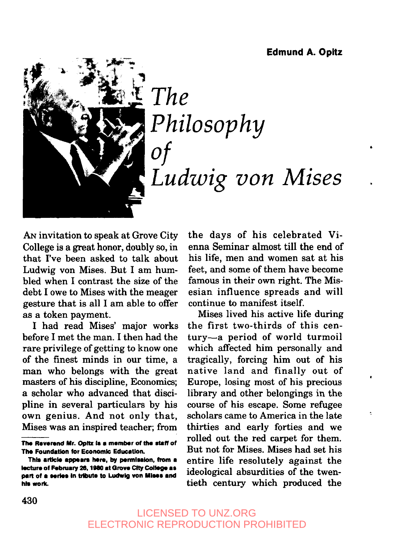

# $The$ *Philosophy of Ludwig yon Mises*

AN invitation to speak at Grove City College is a great honor, doubly so, in that I've been asked to talk about Ludwig von Mises. But I am humbled when I contrast the size of the debt I owe to Mises with the meager gesture that is all I am able to offer as a token payment.

I had read Mises' major works before I met the man. I then had the rare privilege of getting to know one of the finest minds in our time, a man who belongs with the great masters of his discipline, Economics; a scholar who advanced that discipline in several particulars by his own genius. And not only that, Mises was an inspired teacher; from

the days of his celebrated Vienna Seminar almost till the end of his life, men and women sat at his feet, and some of them have become famous in their own right. The Misesian influence spreads and will continue to manifest itself.

Mises lived his active life during the first two-thirds of this century--a period of world turmoil which affected him personally and tragically, forcing him out of his native land and finally out of Europe, losing most of his precious library and other belongings in the course of his escape. Some refugee scholars came to America in the late thirties and early forties and we rolled out the red carpet for them. But not for Mises. Mises had set his entire life resolutely against the ideological absurdities of the twentieth century which produced the

The Reverend Mr. Opitz is a member of the staff of **The Foundation for Economic Education.** 

This article appears here, by permission, from a lecture of February 26, 1980 at Grove City College as part of a series in tribute to Ludwig von Mises and his work.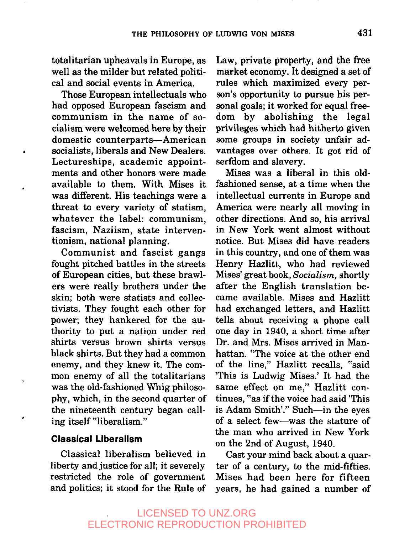totalitarian upheavals in Europe, as well as the milder but related political and social events in America.

Those European intellectuals who had opposed European fascism and communism in the name of socialism were welcomed here by their domestic counterparts--American socialists, liberals and New Dealers. Lectureships, academic appointments and other honors were made available to them. With Mises it was different. His teachings were a threat to every variety of statism, whatever the label: communism, fascism, Naziism, state interventionism, national planning.

Communist and fascist gangs fought pitched battles in the streets of European cities, but these brawlers were really brothers under the skin; both were statists and collectivists. They fought each other for power; they hankered for the authority to put a nation under red shirts versus brown shirts versus black shirts. But they had a common enemy, and they knew it. The common enemy of all the totalitarians was the old-fashioned Whig philosophy, which, in the second quarter of the nineteenth century began calling itself "liberalism."

#### **Classical Liberalism**

Classical liberalism believed in liberty and justice for all; it severely restricted the role of government and politics; it stood for the Rule of Law, private property, and the free market economy. It designed a set of rules which maximized every person's opportunity to pursue his personal goals; it worked for equal freedom by abolishing the legal privileges which had hitherto given some groups in society unfair advantages over others. It got rid of serfdom and slavery.

Mises was a liberal in this oldfashioned sense, at a time when the intellectual currents in Europe and America were nearly all moving in other directions. And so, his arrival in New York went almost without notice. But Mises did have readers in this country, and one of them was Henry Hazlitt, who had reviewed Mises' great book, *Socialism,* shortly after the English translation became available. Mises and Hazlitt had exchanged letters, and Hazlitt tells about receiving a phone call one day in 1940, a short time after Dr. and Mrs. Mises arrived in Manhattan. "The voice at the other end of the line," Hazlitt recalls, "said 'This is Ludwig Mises.' It had the same effect on me," Hazlitt continues, "as if the voice had said 'This is Adam Smith'." Such--in the eyes of a select few--was the stature of the man who arrived in New York on the 2nd of August, 1940.

Cast your mind back about a quarter of a century, to the mid-fifties. Mises had been here for fifteen years, he had gained a number of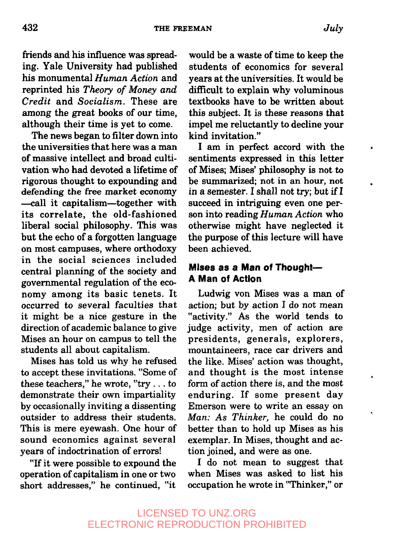friends and his influence was spreading. Yale University had published his monumental *Human Action* and reprinted his *Theory of Money and Credit* and *Socialism.* These are among the great books of our time, although their time is yet to come.

The news began to filter down into the universities that here was a man of massive intellect and broad cultivation who had devoted a lifetime of rigorous thought to expounding and defending the free market economy --call it capitalism--together with its correlate, the old-fashioned liberal social philosophy. This was but the echo of a forgotten language on most campuses, where orthodoxy in the social sciences included central planning of the society and governmental regulation of the economy among its basic tenets. It occurred to several faculties that it might be a nice gesture in the direction of academic balance to give Mises an hour on campus to tell the students all about capitalism.

Mises has told us why he refused to accept these invitations. "Some of these teachers," he wrote, "try... to demonstrate their own impartiality by occasionally inviting a dissenting outsider to address their students. This is mere eyewash. One hour of sound economics against several years of indoctrination of errors!

"If it were possible to expound the operation of capitalism in one or two short addresses," he continued, "it

would be a waste of time to keep the students of economics for several years at the universities. It would be difficult to explain why voluminous textbooks have to be written about this subject. It is these reasons that impel me reluctantly to decline your kind invitation."

I am in perfect accord with the sentiments expressed in this letter of Mises; Mises' philosophy is not to be summarized; not in an hour, not in a semester. I shall not try; but if I succeed in intriguing even one person into reading Human Action who otherwise might have neglected it the purpose of this lecture will have been achieved.

### **Mises as a Man of Thought-A Man of Action**

Ludwig von Mises was a man of action; but by action I do not mean "activity." As the world tends to judge activity, men of action are presidents, generals, explorers, mountaineers, race car drivers and the like. Mises' action was thought, and thought is the most intense form of action there is, and the most enduring. If some present day Emerson were to write an essay on Man: As Thinker, he could do no better than to hold up Mises as his exemplar. In Mises, thought and action joined, and were as one.

! do not mean to suggest that when Mises was asked to list his occupation he wrote in "Thinker," or

.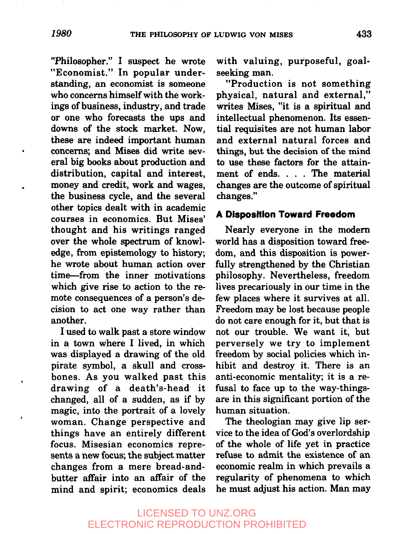"Philosopher." I suspect he wrote "Economist." In popular understanding, an economist is someone who concerns himself with the workings of business, industry, and trade or one who forecasts the ups and downs of the stock market. Now, these are indeed important human concerns; and Mises did write several big books about production and distribution, capital and interest, money and credit, work and wages, the business cycle, and the several other topics dealt with in academic courses in economics. But Mises' thought and his writings ranged over the whole spectrum of knowledge, from epistemology to history; he wrote about human action over time--from the inner motivations which give rise to action to the remote consequences of a person's decision to act one way rather than another.

I used to walk past a store window in a town where I lived, in which was displayed a drawing of the old pirate symbol, a skull and crossbones. As you walked past this drawing of a death's-head it changed, all of a sudden, as if by magic, into the portrait of a lovely woman. Change perspective and things have an entirely different focus. Misesian economics represents a new focus; the subject matter changes from a mere bread-andbutter affair into an affair of the mind and spirit; economics deals with valuing, purposeful, goalseeking man.

"Production is not something physical, natural and external," writes Mises, "it is a spiritual and intellectual phenomenon. Its essential requisites are not human labor and external natural forces and things, but the decision of the mind to use these factors for the attainment of ends. . . . The material changes are the outcome of spiritual changes."

#### **A Disposition Toward Freedom**

Nearly everyone in the modern world has a disposition toward freedom, and this disposition is powerfully strengthened by the Christian philosophy. Nevertheless, freedom lives precariously in our time in the few places where it survives at all. Freedom may be lost because people do not care enough for it, but that is not our trouble. We want it, but perversely we try to implement freedom by social policies which inhibit and destroy it. There is an anti-economic mentality; it is a refusal to face up to the way-thingsare in this significant portion of the human situation.

The theologian may give lip service to the idea of God's overlordship of the whole of life yet in practice refuse to admit the existence of an economic realm in which prevails a regularity of phenomena to which he must adjust his action. Man may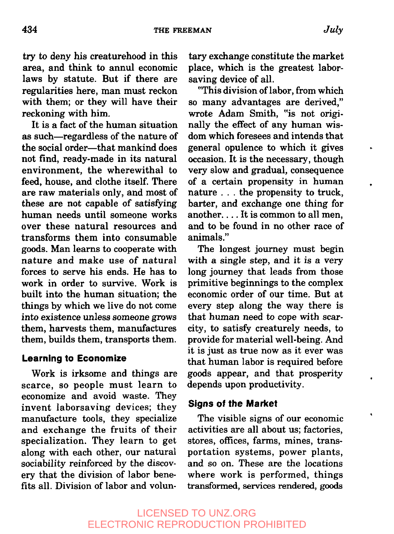try to deny his creaturehood in this area, and think to annul economic laws by statute. But if there are regularities here, man must reckon with them; or they will have their reckoning with him.

It is a fact of the human situation as such--regardless of the nature of the social order---that mankind does not find, ready-made in its natural environment, the wherewithal to feed, house, and clothe itself. There are raw materials only, and most of these are not capable of satisfying human needs until someone works over these natural resources and transforms them into consumable goods. Man learns to cooperate with nature and make use of natural forces to serve his ends. He has to work in order to survive. Work is built into the human situation; the things by which we live do not come into existence unless someone grows them, harvests them, manufactures them, builds them, transports them.

#### **Learning to Economize**

Work is irksome and things are scarce, so people must learn to economize and avoid waste. They invent laborsaving devices; they manufacture tools, they specialize and exchange the fruits of their specialization. They learn to get along with each other, our natural sociability reinforced by the discovery that the division of labor benefits all. Division of labor and volun-

tary exchange constitute the market place, which is the greatest laborsaving device of all.

"This division of labor, from which so many advantages are derived," wrote Adam Smith, *"is* not originally the effect of any human wisdom which foresees and intends that general opulence to which it gives occasion. It is the necessary, though very slow and gradual, consequence of a certain propensity in human nature.., the propensity to truck, barter, and exchange one thing for another.... It is common to all men, and to be found in no other race of animals."

The longest journey must begin with a single step, and it is a very long journey that leads from those primitive beginnings to the complex economic order of our time. But at every step along the way there is that human need to cope with scarcity, to satisfy creaturely needs, to provide for material well-being. And it is just as true now as it ever was that human labor is required before goods appear, and that prosperity depends upon productivity.

#### **Signs of the Market**

The visible signs of our economic activities are all about us; factories, stores, offices, farms, mines, transportation systems, power plants, and so on. These are the locations where work is performed, things transformed, services rendered, goods

# LICENSED TO UNZ.ORG ELECTRONIC REPRODUCTION PROHIBITED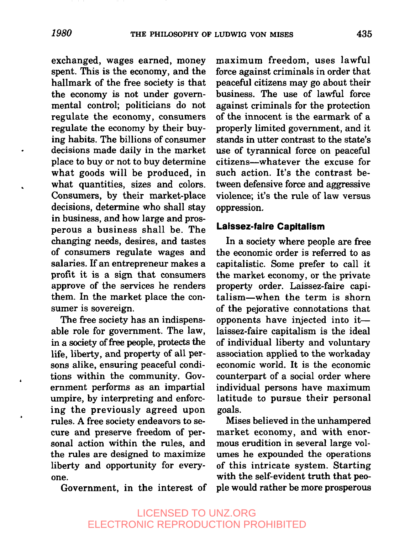exchanged, wages earned, money spent. This is the economy, and the hallmark of the free society is that the economy is not under governmental control; politicians do not regulate the economy, consumers regulate the economy by their buying habits. The billions of consumer decisions made daily in the market place to buy or not to buy determine what goods will be produced, in what quantities, sizes and colors. Consumers, by their market-place decisions, determine who shall stay in business, and how large and prosperous a business shall be. The changing needs, desires, and tastes of consumers regulate wages and salaries. If an entrepreneur makes a profit it is a sign that consumers approve of the services he renders them. In the market place the consumer is sovereign.

The free society has an indispensable role for government. The law, in a society of free people, protects the life, liberty, and property of all persons alike, ensuring peaceful conditions within the community. Government performs as an impartial umpire, by interpreting and enforcing the previously agreed upon rules. A free society endeavors to secure and preserve freedom of personal action within the rules, and the rules are designed to maximize liberty and opportunity for everyone.

Government, in the interest of

maximum freedom, uses lawful force against criminals in order that peaceful citizens may go about their business. The use of lawful force against criminals for the protection of the innocent is the earmark of a properly limited government, and it stands in utter contrast to the state's use of tyrannical force on peaceful citizens--whatever the excuse for such action. It's the contrast between defensive force and aggressive violence; it's the rule of law versus oppression.

#### **Laissez-faire Capitalism**

In a society where people are free the economic order is referred to as capitalistic. Some prefer to call it the market economy, or the private property order. Laissez-faire capitalism-when the term is shorn of the pejorative connotations that opponents have injected into it- laissez-faire capitalism is the ideal of individual liberty and voluntary association applied to the workaday economic world. It is the economic counterpart of a social order where individual persons have maximum latitude to pursue their personal goals.

Mises believed in the unhampered market economy, and with enormous erudition in several large volumes he expounded the operations of this intricate system. Starting with the self-evident truth that people would rather be more prosperous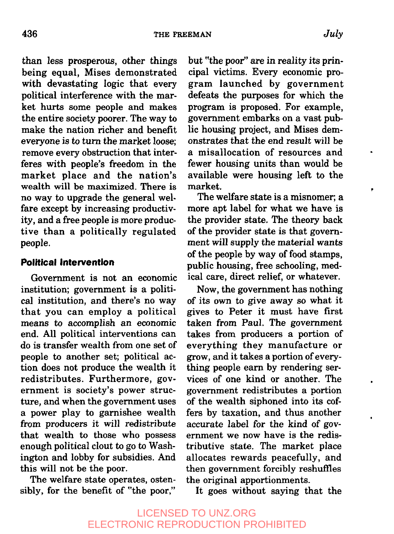than less prosperous, other things being equal, Mises demonstrated with devastating logic that every political interference with the market hurts some people and makes the entire society poorer. The way to make the nation richer and benefit everyone is to turn the market loose; remove every obstruction that interferes with people's freedom in the market place and the nation's wealth will be maximized. There is no way to upgrade the general welfare except by increasing productivity, and a free people is more productive than a politically regulated people.

#### **Political Intervention**

Government is not an economic institution; government is a political institution, and there's no way that you can employ a political means to accomplish an economic end. All political interventions can do is transfer wealth from one set of people to another set; political action does not produce the wealth it redistributes. Furthermore, government is society's power structure, and when the government uses a power play to garnishee wealth from producers it will redistribute that wealth to those who possess enough political clout to go to Washington and lobby for subsidies. And this will not be the poor.

The welfare state operates, ostensibly, for the benefit of "the poor," but "the poor" are in reality its principal victims. Every economic program launched by government defeats the purposes for which the program is proposed. For example, government embarks on a vast public housing project, and Mises demonstrates that the end result will be a misallocation of resources and fewer housing units than would be available were housing left to the market.

The welfare state is a misnomer; a more apt label for what we have is the provider state. The theory back of the provider state is that government will supply the material wants of the people by way of food stamps, public housing, free schooling, medical care, direct relief, or whatever.

Now, the government has nothing of its own to give away so what it gives to Peter it must have first taken from Paul. The government takes from producers a portion of everything they manufacture or grow, and it takes a portion of everything people earn by rendering services of one kind or another. The government redistributes a portion of the wealth siphoned into its coffers by taxation, and thus another accurate label for the kind of government we now have is the redistributive state. The market place allocates rewards peacefully, and then government forcibly reshuffles the original apportionments.

It goes without saying that the

# LICENSED TO UNZ.ORG ELECTRONIC REPRODUCTION PROHIBITED

÷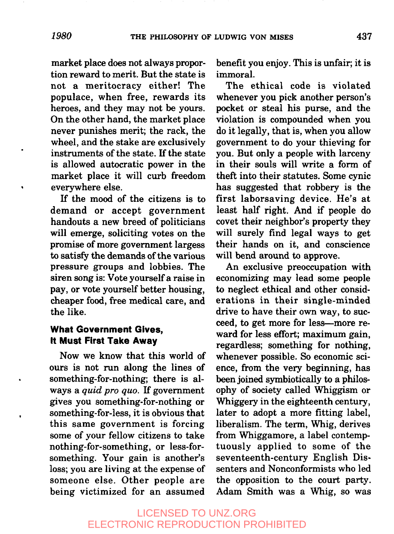market place does not always proportion reward to merit. But the state is not a meritocracy either! The populace, when free, rewards its heroes, and they may not be yours. On the other hand, the market place never punishes merit; the rack, the wheel, and the stake are exclusively instruments of the state. If the state is allowed autocratic power in the market place it will curb freedom everywhere else.

If the mood of the citizens is to demand or accept government handouts a new breed of politicians will emerge, soliciting votes on the promise of more government largess to satisfy the demands of the various pressure groups and lobbies. The siren song is: Vote yourself a raise in pay, or vote yourself better housing, cheaper food, free medical care, and the like.

#### **What Government Gives, It Must First Take Away**

Now we know that this world of ours is not run along the lines of something-for-nothing; there is always a *quid pro quo. If* government gives you something-for-nothing or something-for-less, it is obvious that this same government is forcing some of your fellow citizens to take nothing-for-something, or less-forsomething. Your gain is another's loss; you are living at the expense of someone else. Other people are being victimized for an assumed benefit you enjoy. This is unfair; it is immoral.

The ethical code is violated whenever you pick another person's pocket or steal his purse, and the violation is compounded when you do it legally, that is, when you allow government to do your thieving for you. But only a people with larceny in their souls will write a form of theft into their statutes. Some cynic has suggested that robbery is the first laborsaving device. He's at least half right. And if people do covet their neighbor's property they will surely find legal ways to get their hands on it, and conscience will bend around to approve.

An exclusive preoccupation with economizing may lead some people to neglect ethical and other considerations in their single-minded drive to have their own way, to succeed, to get more for less---more reward for less effort; maximum gain, regardless; something for nothing, whenever possible. So economic science, from the very beginning, has been joined symbiotically to a philosophy of society called Whiggism or Whiggery in the eighteenth century, later to adopt a more fitting label, liberalism. The term, Whig, derives from Whiggamore, a label contemptuously applied to some of the seventeenth-century English Dissenters and Nonconformists who led the opposition to the court party. Adam Smith was a Whig, so was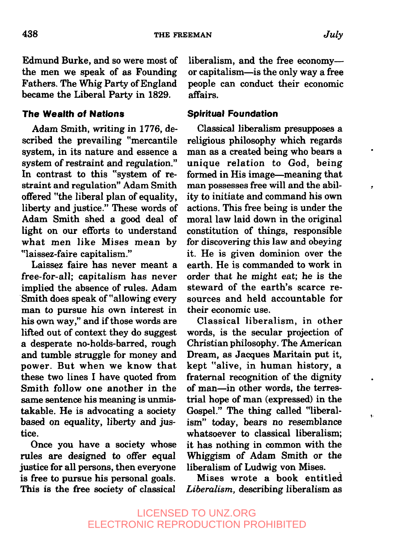438 THE FREEMAN

Edmund Burke, and so were most of the men we speak of as Founding Fathers. The Whig Party of England became the Liberal Party in 1829.

#### **The Wealth of Nations**

Adam Smith, writing in 1776, described the prevailing "mercantile system, in its nature and essence a system of restraint and regulation." In contrast to this "system of restraint and regulation" Adam Smith offered "the liberal plan of equality, liberty and justice." These words of Adam Smith shed a good deal of light on our efforts to understand what men like Mises mean by "laissez-faire capitalism."

Laissez faire has never meant a free-for-all; capitalism has never implied the absence of rules. Adam Smith does speak of"allowing every man to pursue his own interest in his own way," and if those words are lifted out of context they do suggest a desperate no-holds-barred, rough and tumble struggle for money and power. But when we know that these two lines I have quoted from Smith follow one another in the same sentence his meaning is unmistakable. He is advocating a society based on equality, liberty and justice.

Once you have a society whose rules are designed to offer equal justice for all persons, then everyone is free to pursue his personal goals. This is the free society of classical

liberalism, and the free economy- or capitalism--is the only way a free people can conduct their economic affairs.

#### **Spiritual Foundation**

Classical liberalism presupposes a religious philosophy which regards man as a created being who bears a unique relation to God, being formed in His image—meaning that man possesses free will and the ability to initiate and command his own actions. This free being is under the moral law laid down in the original constitution of things, responsible for discovering this law and obeying it. He is given dominion over the earth. He is commanded to work in order that he might eat; he is the steward of the earth's scarce resources and held accountable for their economic use.

Classical liberalism, in other words, is the secular projection of Christian philosophy. The American Dream, as Jacques Maritain put it, kept "alive, in human history, a fraternal recognition of the dignity of man--in other words, the terrestrial hope of man (expressed) in the Gospel." The thing called "liberalism" today, bears no resemblance whatsoever to classical liberalism; it has nothing in common with the Whiggism of Adam Smith or the liberalism of Ludwig yon Mises.

ţ.

Mises wrote a book entitled *Liberalism,* describing liberalism as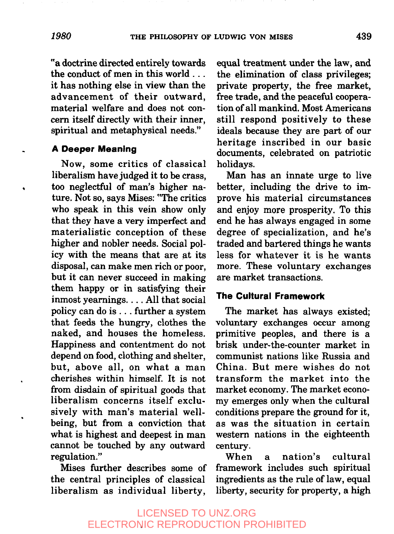"a doctrine directed entirely towards the conduct of men in this world... it has nothing else in view than the advancement of their outward, material welfare and does not concern itself directly with their inner, spiritual and metaphysical needs."

#### **A Deeper Meaning**

Now, some critics of classical liberalism have judged it to be crass, too neglectful of man's higher nature. Not so, says Mises: "The critics who speak in this vein show only that they have a very imperfect and materialistic conception of these higher and nobler needs. Social policy with the means that are at its disposal, can make men rich or poor, but it can never succeed in making them happy or in satisfying their inmost yearnings .... All that social policy can do is... further a system that feeds the hungry, clothes the naked, and houses the homeless. Happiness and contentment do not depend on food, clothing and shelter, but, above all, on what a man cherishes within himself. It is not from disdain of spiritual goods that liberalism concerns itself exclusively with man's material wellbeing, but from a conviction that what is highest and deepest in man cannot be touched by any outward regulation."

Mises further describes some of the central principles of classical liberalism as individual liberty,

equal treatment under the law, and the elimination of class privileges; private property, the free market, free trade, and the peaceful cooperation of all mankind. Most Americans still respond positively to these ideals because they are part of our heritage inscribed in our basic documents, celebrated on patriotic holidays.

Man has an innate urge to live better, including the drive to improve his material circumstances and enjoy more prosperity. To this end he has always engaged in some degree of specialization, and he's traded and bartered things he wants less for whatever it is he wants more. These voluntary exchanges are market transactions.

#### **The Cultural Framework**

The market has always existed; voluntary exchanges occur among primitive peoples, and there is a brisk under-the-counter market in communist nations like Russia and China. But mere wishes do not transform the market into the market economy. The market economy emerges only when the cultural conditions prepare the ground for it, as was the situation in certain western nations in the eighteenth century.

When a nation's cultural framework includes such spiritual ingredients as the rule of law, equal liberty, security for property, a high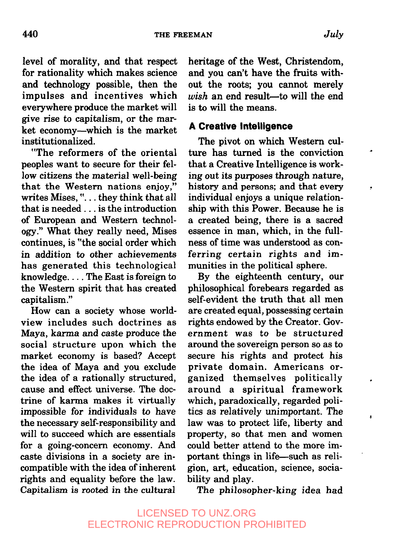level of morality, and that respect for rationality which makes science and technology possible, then the impulses and incentives which everywhere produce the market will give rise to capitalism, or the market economy--which is the market institutionalized.

"The reformers of the oriental peoples want to secure for their fellow citizens the material well-being that the Western nations enjoy," writes Mises, "... they think that all that is needed.., is the introduction of European and Western technology." What they really need, Mises continues, is "the social order which in addition to other achievements has generated this technological knowledge .... The East is foreign to the Western spirit that has created capitalism ."

How can a society whose worldview includes such doctrines as Maya, karma and caste produce the social structure upon which the market economy is based? Accept the idea of Maya and you exclude the idea of a rationally structured, cause and effect universe. The doctrine of karma makes it virtually impossible for individuals to have the necessary self-responsibility and will to succeed which are essentials for a going-concern economy. And caste divisions in a society are incompatible with the idea of inherent rights and equality before the law. Capitalism is rooted in the cultural

heritage of the West, Christendom, and you can't have the fruits without the roots; you cannot merely  *an end result--to will the end* is to will the means.

#### **A Creative Intelligence**

The pivot on which Western culture has turned is the conviction that a Creative Intelligence is working out its purposes through nature, history and persons; and that every individual enjoys a unique relationship with this Power. Because he is a created being, there is a sacred essence in man, which, in the fullness of time was understood as conferring certain rights and immunities in the political sphere.

By the eighteenth century, our philosophical forebears regarded as self-evident the truth that all men are created equal, possessing certain rights endowed by the Creator. Government was to be structured around the sovereign person so as to secure his rights and protect his private domain. Americans organized themselves politically around a spiritual framework which, paradoxically, regarded politics as relatively unimportant. The law was to protect life, liberty and property, so that men and women could better attend to the more important things in life-such as religion, art, education, science, sociability and play.

ś

The philosopher-king idea had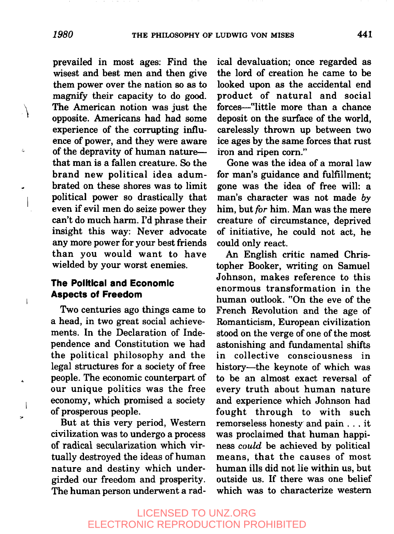prevailed in most ages: Find the wisest and best men and then give them power over the nation so as to magnify their capacity to do good. The American notion was just the opposite. Americans had had some experience of the corrupting influence of power, and they were aware of the depravity of human nature-that man is a fallen creature. So the brand new political idea adumbrated on these shores was to limit political power so drastically that even if evil men do seize power they can't do much harm. I'd phrase their insight this way: Never advocate any more power for your best friends than you would want to have wielded by your worst enemies.

#### **The Political and Economic Aspects of Freedom**

Two centuries ago things came to a head, in two great social achievements. In the Declaration of Independence and Constitution we had the political philosophy and the legal structures for a society of free people. The economic counterpart of our unique politics was the free economy, which promised a society of prosperous people.

But at this very period, Western civilization was to undergo a process of radical secularization which virtually destroyed the ideas of human nature and destiny which undergirded our freedom and prosperity. The human person underwent a radical devaluation; once regarded as the lord of creation he came to be looked upon as the accidental end product of natural and social forces--"little more than a chance deposit on the surface of the world, carelessly thrown up between two ice ages by the same forces that rust iron and ripen corn."

Gone was the idea of a moral law for man's guidance and fulfillment; gone was the idea of free will: a man's character was not made *by* him, but *for* him. Man was the mere creature of circumstance, deprived of initiative, he could not act, he could only react.

An English critic named Christopher Booker, writing on Samuel Johnson, makes reference to this enormous transformation in the human outlook. "On the eve of the French Revolution and the age of Romanticism, European civilization stood on the verge of one of the most astonishing and fundamental shifts in collective consciousness in history--the keynote of which was to be an almost exact reversal of every truth about human nature and experience which Johnson had fought through to with such remorseless honesty and pain.., it was proclaimed that human happiness could be achieved by political means, that the causes of most human ills did not lie within us, but outside us. If there was one belief which was to characterize western

### LICENSED TO UNZ.ORG ELECTRONIC REPRODUCTION PROHIBITED

 $\lambda$ 

 $\overline{\phantom{a}}$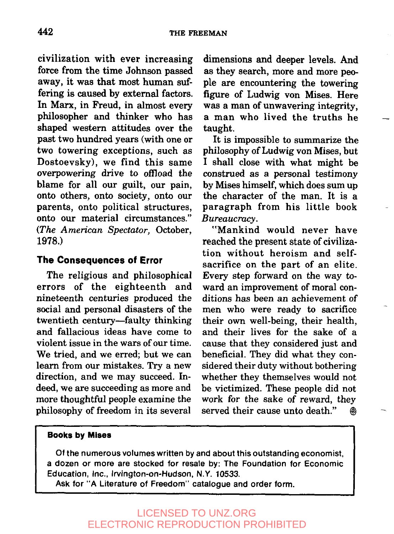civilization with ever increasing force from the time Johnson passed away, it was that most human suffering is caused by external factors. In Marx, in Freud, in almost every philosopher and thinker who has shaped western attitudes over the past two hundred years (with one or two towering exceptions, such as Dostoevsky), we find this same overpowering drive to offload the blame for all our guilt, our pain, onto others, onto society, onto our parents, onto political structures, onto our material circumstances." (The American Spectator, October, 1978.)

#### **The Consequences of Error**

The religious and philosophical errors of the eighteenth and nineteenth centuries produced the social and personal disasters of the twentieth century--faulty thinking and fallacious ideas have come to violent issue in the wars of our time. We tried, and we erred; but we can learn from our mistakes. Try a new direction, and we may succeed. Indeed, we are succeeding as more and more thoughtful people examine the philosophy of freedom in its several

dimensions and deeper levels. And as they search, more and more people are encountering the towering figure of Ludwig von Mises. Here was a man of unwavering integrity, a man who lived the truths he taught.

It is impossible to summarize the philosophy of Ludwig von Mises, but I shall close with what might be construed as a personal testimony by Mises himself, which does sum up the character of the man. It is a paragraph from his little book *Bureaucracy.*

"Mankind would never have reached the present state of civilization without heroism and selfsacrifice on the part of an elite. Every step forward on the way toward an improvement of moral conditions has been an achievement of men who were ready to sacrifice their own well-being, their health, and their lives for the sake of a cause that they considered just and beneficial. They did what they considered their duty without bothering whether they themselves would not be victimized. These people did not work for the sake of reward, they served their cause unto death."  $\qquad$   $\qquad$ 

#### **Books by Mlses**

**Of the** numerous volumes **written by** and about this outstanding economist, a dozen or more are stocked for resale by: The Foundation for Economic Education, Inc., Irvington-on-Hudson, N.Y. 10533.

Ask for "A Literature of Freedom" catalogue and order form.

# LICENSED TO UNZ.ORG ELECTRONIC REPRODUCTION PROHIBITED